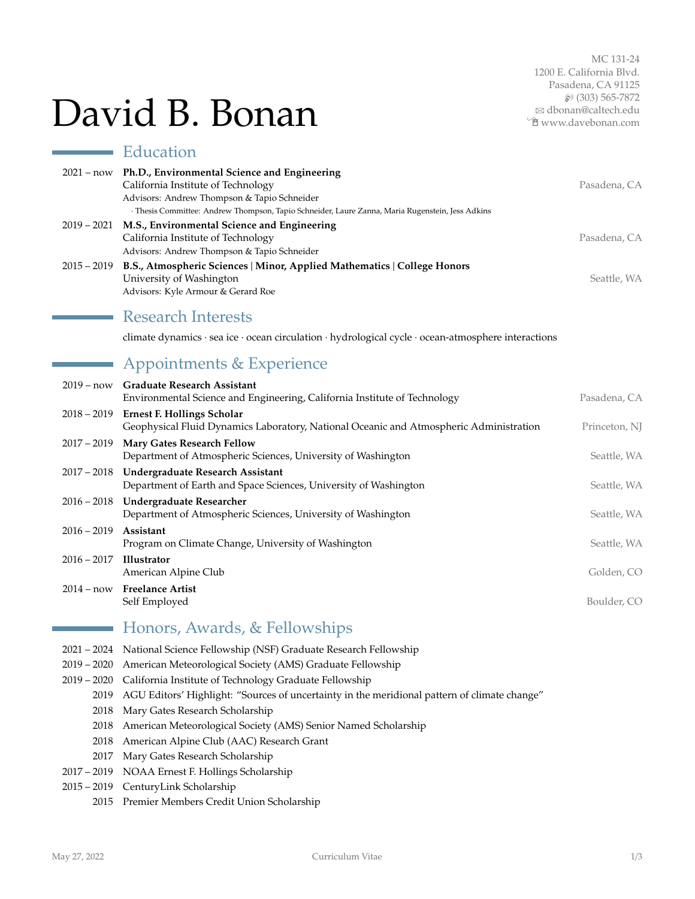#### MC 131-24 1200 E. California Blvd. Pasadena, CA 91125 H (303) 565-7872 B [dbonan@caltech.edu](mailto:dbonan@caltech.edu) Í [www.davebonan.com](http://www.davebonan.com)

# David B. Bonan

Education

and the company of the company

|             | 2021 - now Ph.D., Environmental Science and Engineering                                                                     |               |
|-------------|-----------------------------------------------------------------------------------------------------------------------------|---------------|
|             | California Institute of Technology                                                                                          | Pasadena, CA  |
|             | Advisors: Andrew Thompson & Tapio Schneider                                                                                 |               |
|             | · Thesis Committee: Andrew Thompson, Tapio Schneider, Laure Zanna, Maria Rugenstein, Jess Adkins                            |               |
|             | 2019 - 2021 M.S., Environmental Science and Engineering                                                                     |               |
|             | California Institute of Technology                                                                                          | Pasadena, CA  |
|             | Advisors: Andrew Thompson & Tapio Schneider                                                                                 |               |
|             | 2015 – 2019 B.S., Atmospheric Sciences   Minor, Applied Mathematics   College Honors                                        |               |
|             | University of Washington                                                                                                    | Seattle, WA   |
|             | Advisors: Kyle Armour & Gerard Roe                                                                                          |               |
|             |                                                                                                                             |               |
|             | <b>Research Interests</b>                                                                                                   |               |
|             | climate dynamics $\cdot$ sea ice $\cdot$ ocean circulation $\cdot$ hydrological cycle $\cdot$ ocean-atmosphere interactions |               |
|             |                                                                                                                             |               |
|             | Appointments & Experience                                                                                                   |               |
| 2019 – now  | <b>Graduate Research Assistant</b>                                                                                          |               |
|             | Environmental Science and Engineering, California Institute of Technology                                                   | Pasadena, CA  |
|             | 2018 - 2019 Ernest F. Hollings Scholar                                                                                      |               |
|             | Geophysical Fluid Dynamics Laboratory, National Oceanic and Atmospheric Administration                                      | Princeton, NJ |
| 2017 – 2019 | Mary Gates Research Fellow                                                                                                  |               |
|             | Department of Atmospheric Sciences, University of Washington                                                                | Seattle, WA   |
|             |                                                                                                                             |               |
| 2017 – 2018 | Undergraduate Research Assistant                                                                                            |               |
|             | Department of Earth and Space Sciences, University of Washington                                                            | Seattle, WA   |
|             |                                                                                                                             |               |

## 2016 – 2018 **Undergraduate Researcher** Department of Atmospheric Sciences, University of Washington Seattle, WA 2016 – 2019 **Assistant** Program on Climate Change, University of Washington Seattle, WA 2016 – 2017 **Illustrator** American Alpine Club Golden, CO 2014 – now **Freelance Artist** Self Employed Boulder, CO

# Honors, Awards, & Fellowships

- 2021 2024 National Science Fellowship (NSF) Graduate Research Fellowship
- 2019 2020 American Meteorological Society (AMS) Graduate Fellowship
- 2019 2020 California Institute of Technology Graduate Fellowship
	- 2019 AGU Editors' Highlight: "Sources of uncertainty in the meridional pattern of climate change"
	- 2018 Mary Gates Research Scholarship
	- 2018 American Meteorological Society (AMS) Senior Named Scholarship
	- 2018 American Alpine Club (AAC) Research Grant
	- 2017 Mary Gates Research Scholarship
- 2017 2019 NOAA Ernest F. Hollings Scholarship
- 2015 2019 CenturyLink Scholarship
	- 2015 Premier Members Credit Union Scholarship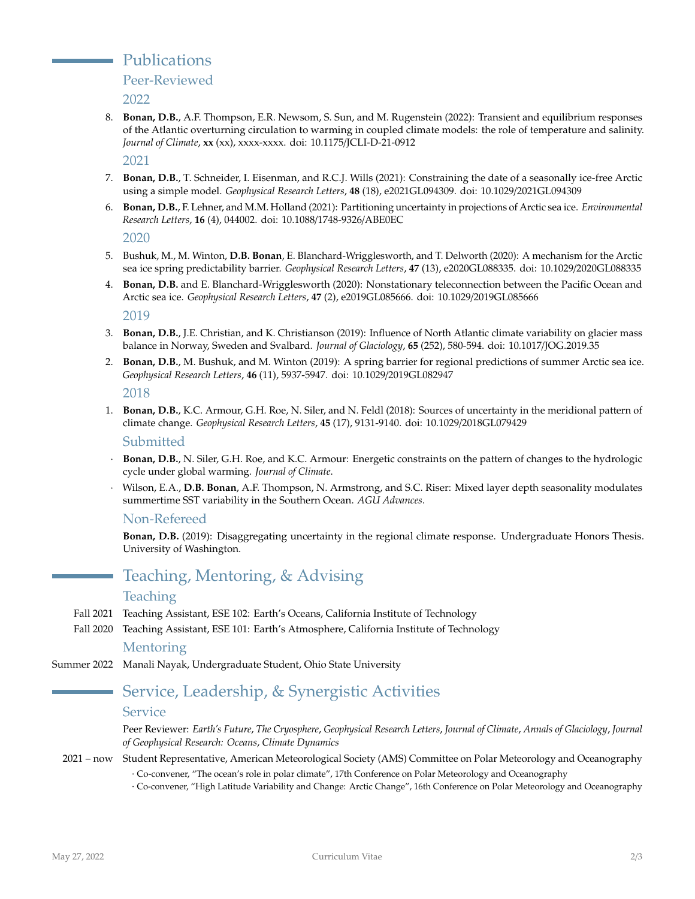Publications

Peer-Reviewed

2022

8. **Bonan, D.B.**, A.F. Thompson, E.R. Newsom, S. Sun, and M. Rugenstein (2022): Transient and equilibrium responses of the Atlantic overturning circulation to warming in coupled climate models: the role of temperature and salinity. *Journal of Climate*, **xx** (xx), xxxx-xxxx. doi: 10.1175/JCLI-D-21-0912

2021

- 7. **Bonan, D.B.**, T. Schneider, I. Eisenman, and R.C.J. Wills (2021): Constraining the date of a seasonally ice-free Arctic using a simple model. *Geophysical Research Letters*, **48** (18), e2021GL094309. doi: 10.1029/2021GL094309
- 6. **Bonan, D.B.**, F. Lehner, and M.M. Holland (2021): Partitioning uncertainty in projections of Arctic sea ice. *Environmental Research Letters*, **16** (4), 044002. doi: 10.1088/1748-9326/ABE0EC

2020

- 5. Bushuk, M., M. Winton, **D.B. Bonan**, E. Blanchard-Wrigglesworth, and T. Delworth (2020): A mechanism for the Arctic sea ice spring predictability barrier. *Geophysical Research Letters*, **47** (13), e2020GL088335. doi: 10.1029/2020GL088335
- 4. **Bonan, D.B.** and E. Blanchard-Wrigglesworth (2020): Nonstationary teleconnection between the Pacific Ocean and Arctic sea ice. *Geophysical Research Letters*, **47** (2), e2019GL085666. doi: 10.1029/2019GL085666

2019

- 3. **Bonan, D.B.**, J.E. Christian, and K. Christianson (2019): Influence of North Atlantic climate variability on glacier mass balance in Norway, Sweden and Svalbard. *Journal of Glaciology*, **65** (252), 580-594. doi: 10.1017/JOG.2019.35
- 2. **Bonan, D.B.**, M. Bushuk, and M. Winton (2019): A spring barrier for regional predictions of summer Arctic sea ice. *Geophysical Research Letters*, **46** (11), 5937-5947. doi: 10.1029/2019GL082947

#### 2018

1. **Bonan, D.B.**, K.C. Armour, G.H. Roe, N. Siler, and N. Feldl (2018): Sources of uncertainty in the meridional pattern of climate change. *Geophysical Research Letters*, **45** (17), 9131-9140. doi: 10.1029/2018GL079429

#### Submitted

- · **Bonan, D.B.**, N. Siler, G.H. Roe, and K.C. Armour: Energetic constraints on the pattern of changes to the hydrologic cycle under global warming. *Journal of Climate*.
- · Wilson, E.A., **D.B. Bonan**, A.F. Thompson, N. Armstrong, and S.C. Riser: Mixed layer depth seasonality modulates summertime SST variability in the Southern Ocean. *AGU Advances*.

## Non-Refereed

**Bonan, D.B.** (2019): Disaggregating uncertainty in the regional climate response. Undergraduate Honors Thesis. University of Washington.

# Teaching, Mentoring, & Advising

## Teaching

- Fall 2021 Teaching Assistant, ESE 102: Earth's Oceans, California Institute of Technology
- Fall 2020 Teaching Assistant, ESE 101: Earth's Atmosphere, California Institute of Technology

## **Mentoring**

Summer 2022 Manali Nayak, Undergraduate Student, Ohio State University

# Service, Leadership, & Synergistic Activities

#### **Service**

Peer Reviewer: *Earth's Future*, *The Cryosphere*, *Geophysical Research Letters*, *Journal of Climate*, *Annals of Glaciology*, *Journal of Geophysical Research: Oceans*, *Climate Dynamics*

2021 – now Student Representative, American Meteorological Society (AMS) Committee on Polar Meteorology and Oceanography

- · Co-convener, "The ocean's role in polar climate", 17th Conference on Polar Meteorology and Oceanography
- · Co-convener, "High Latitude Variability and Change: Arctic Change", 16th Conference on Polar Meteorology and Oceanography